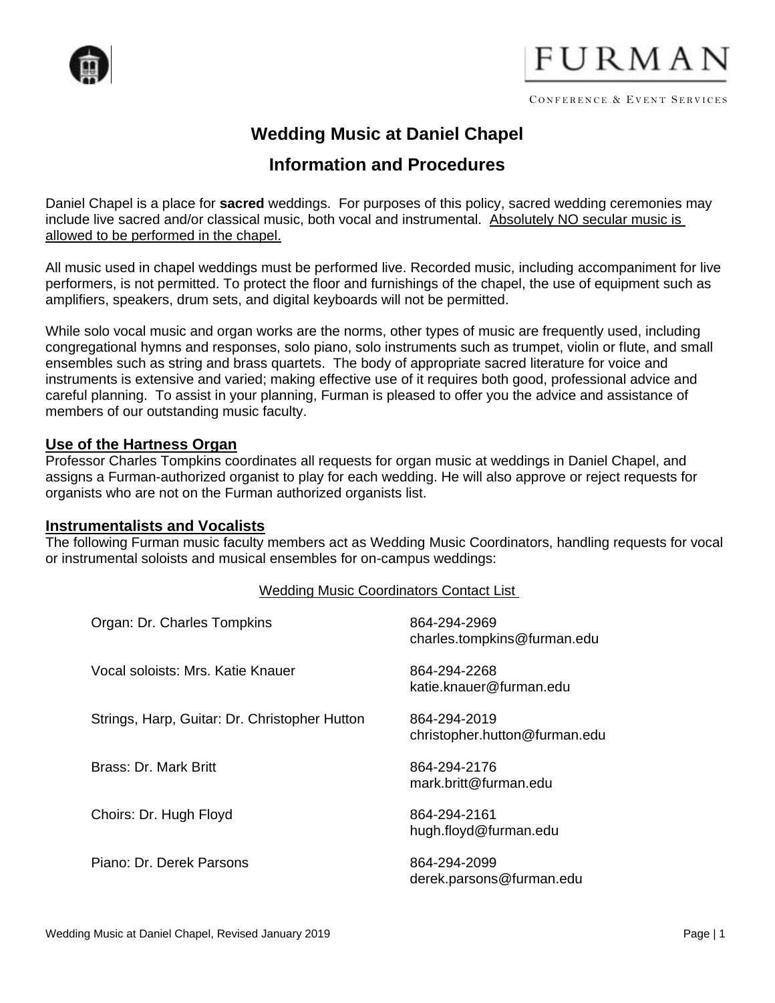

# FURMAN

# **Wedding Music at Daniel Chapel**

## **Information and Procedures**

Daniel Chapel is a place for **sacred** weddings. For purposes of this policy, sacred wedding ceremonies may include live sacred and/or classical music, both vocal and instrumental. Absolutely NO secular music is allowed to be performed in the chapel.

All music used in chapel weddings must be performed live. Recorded music, including accompaniment for live performers, is not permitted. To protect the floor and furnishings of the chapel, the use of equipment such as amplifiers, speakers, drum sets, and digital keyboards will not be permitted.

While solo vocal music and organ works are the norms, other types of music are frequently used, including congregational hymns and responses, solo piano, solo instruments such as trumpet, violin or flute, and small ensembles such as string and brass quartets. The body of appropriate sacred literature for voice and instruments is extensive and varied; making effective use of it requires both good, professional advice and careful planning. To assist in your planning, Furman is pleased to offer you the advice and assistance of members of our outstanding music faculty.

#### **Use of the Hartness Organ**

Professor Charles Tompkins coordinates all requests for organ music at weddings in Daniel Chapel, and assigns a Furman-authorized organist to play for each wedding. He will also approve or reject requests for organists who are not on the Furman authorized organists list.

#### **Instrumentalists and Vocalists**

The following Furman music faculty members act as Wedding Music Coordinators, handling requests for vocal or instrumental soloists and musical ensembles for on-campus weddings:

#### Wedding Music Coordinators Contact List

| Organ: Dr. Charles Tompkins                   | 864-294-2969<br>charles.tompkins@furman.edu   |
|-----------------------------------------------|-----------------------------------------------|
| Vocal soloists: Mrs. Katie Knauer             | 864-294-2268<br>katie.knauer@furman.edu       |
| Strings, Harp, Guitar: Dr. Christopher Hutton | 864-294-2019<br>christopher.hutton@furman.edu |
| Brass: Dr. Mark Britt                         | 864-294-2176<br>mark.britt@furman.edu         |
| Choirs: Dr. Hugh Floyd                        | 864-294-2161<br>hugh.floyd@furman.edu         |
| Piano: Dr. Derek Parsons                      | 864-294-2099<br>derek.parsons@furman.edu      |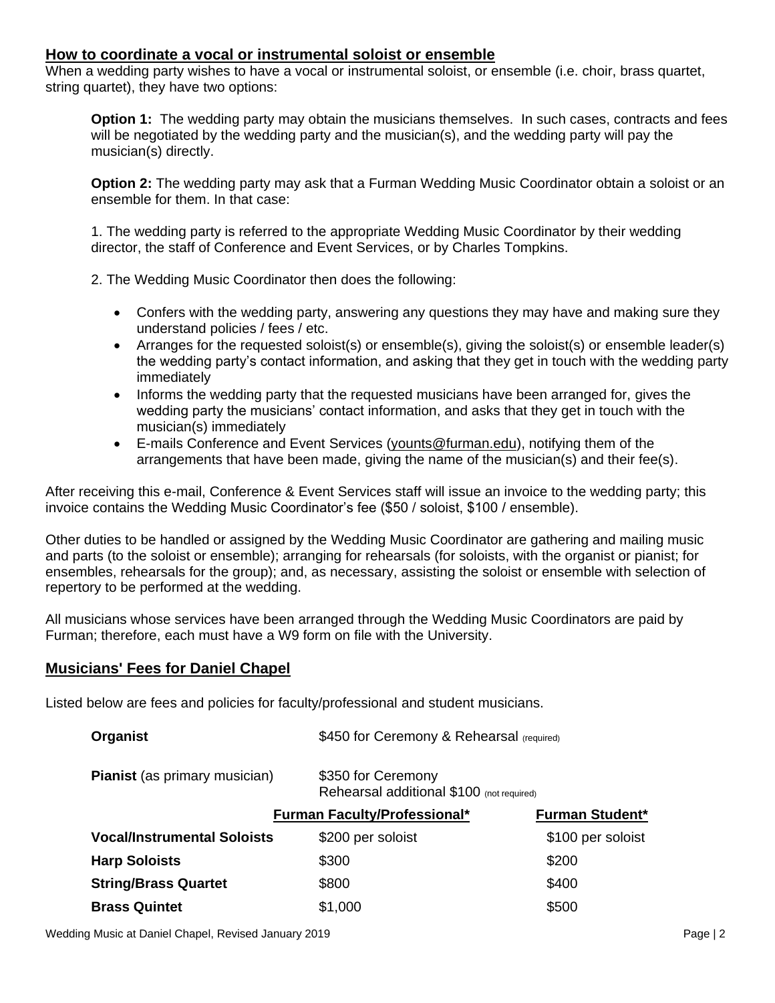#### **How to coordinate a vocal or instrumental soloist or ensemble**

When a wedding party wishes to have a vocal or instrumental soloist, or ensemble (i.e. choir, brass quartet, string quartet), they have two options:

**Option 1:** The wedding party may obtain the musicians themselves. In such cases, contracts and fees will be negotiated by the wedding party and the musician(s), and the wedding party will pay the musician(s) directly.

**Option 2:** The wedding party may ask that a Furman Wedding Music Coordinator obtain a soloist or an ensemble for them. In that case:

1. The wedding party is referred to the appropriate Wedding Music Coordinator by their wedding director, the staff of Conference and Event Services, or by Charles Tompkins.

2. The Wedding Music Coordinator then does the following:

- Confers with the wedding party, answering any questions they may have and making sure they understand policies / fees / etc.
- Arranges for the requested soloist(s) or ensemble(s), giving the soloist(s) or ensemble leader(s) the wedding party's contact information, and asking that they get in touch with the wedding party immediately
- Informs the wedding party that the requested musicians have been arranged for, gives the wedding party the musicians' contact information, and asks that they get in touch with the musician(s) immediately
- E-mails Conference and Event Services (younts@furman.edu), notifying them of the arrangements that have been made, giving the name of the musician(s) and their fee(s).

After receiving this e-mail, Conference & Event Services staff will issue an invoice to the wedding party; this invoice contains the Wedding Music Coordinator's fee (\$50 / soloist, \$100 / ensemble).

Other duties to be handled or assigned by the Wedding Music Coordinator are gathering and mailing music and parts (to the soloist or ensemble); arranging for rehearsals (for soloists, with the organist or pianist; for ensembles, rehearsals for the group); and, as necessary, assisting the soloist or ensemble with selection of repertory to be performed at the wedding.

All musicians whose services have been arranged through the Wedding Music Coordinators are paid by Furman; therefore, each must have a W9 form on file with the University.

#### **Musicians' Fees for Daniel Chapel**

Listed below are fees and policies for faculty/professional and student musicians.

| <b>Organist</b>                      | \$450 for Ceremony & Rehearsal (required)                       |                        |
|--------------------------------------|-----------------------------------------------------------------|------------------------|
| <b>Pianist</b> (as primary musician) | \$350 for Ceremony<br>Rehearsal additional \$100 (not required) |                        |
|                                      | <b>Furman Faculty/Professional*</b>                             | <b>Furman Student*</b> |
| <b>Vocal/Instrumental Soloists</b>   | \$200 per soloist                                               | \$100 per soloist      |
| <b>Harp Soloists</b>                 | \$300                                                           | \$200                  |
| <b>String/Brass Quartet</b>          | \$800                                                           | \$400                  |
| <b>Brass Quintet</b>                 | \$1,000                                                         | \$500                  |

Wedding Music at Daniel Chapel, Revised January 2019 **Page 12** And 2019 Page | 2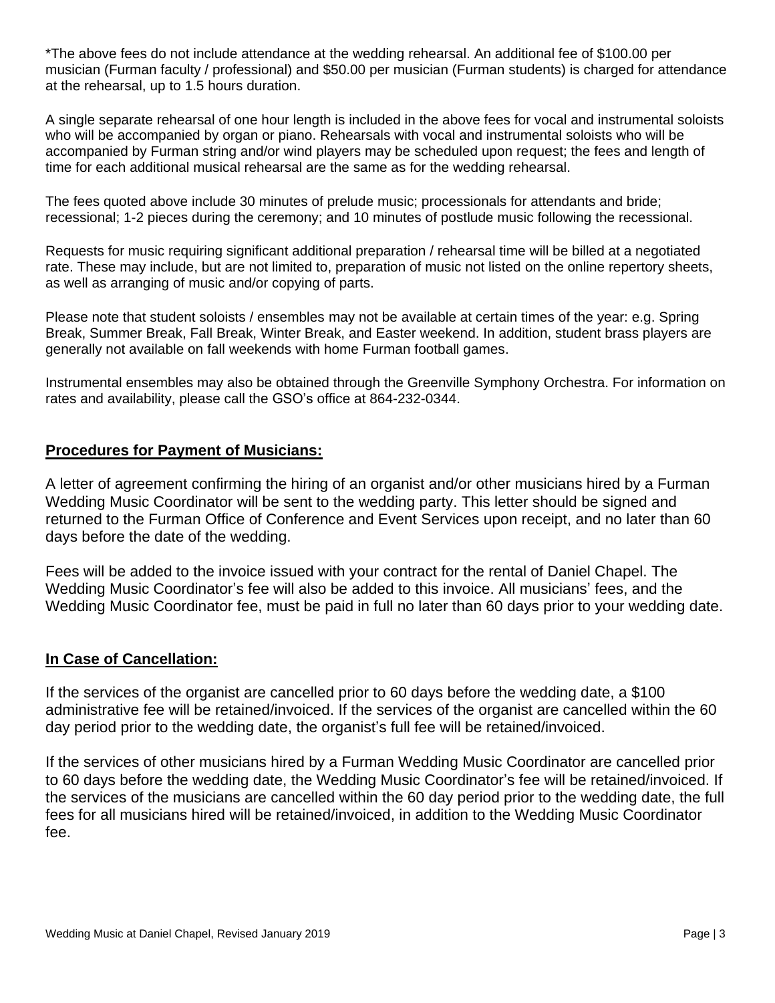\*The above fees do not include attendance at the wedding rehearsal. An additional fee of \$100.00 per musician (Furman faculty / professional) and \$50.00 per musician (Furman students) is charged for attendance at the rehearsal, up to 1.5 hours duration.

A single separate rehearsal of one hour length is included in the above fees for vocal and instrumental soloists who will be accompanied by organ or piano. Rehearsals with vocal and instrumental soloists who will be accompanied by Furman string and/or wind players may be scheduled upon request; the fees and length of time for each additional musical rehearsal are the same as for the wedding rehearsal.

The fees quoted above include 30 minutes of prelude music; processionals for attendants and bride; recessional; 1-2 pieces during the ceremony; and 10 minutes of postlude music following the recessional.

Requests for music requiring significant additional preparation / rehearsal time will be billed at a negotiated rate. These may include, but are not limited to, preparation of music not listed on the online repertory sheets, as well as arranging of music and/or copying of parts.

Please note that student soloists / ensembles may not be available at certain times of the year: e.g. Spring Break, Summer Break, Fall Break, Winter Break, and Easter weekend. In addition, student brass players are generally not available on fall weekends with home Furman football games.

Instrumental ensembles may also be obtained through the Greenville Symphony Orchestra. For information on rates and availability, please call the GSO's office at 864-232-0344.

#### **Procedures for Payment of Musicians:**

A letter of agreement confirming the hiring of an organist and/or other musicians hired by a Furman Wedding Music Coordinator will be sent to the wedding party. This letter should be signed and returned to the Furman Office of Conference and Event Services upon receipt, and no later than 60 days before the date of the wedding.

Fees will be added to the invoice issued with your contract for the rental of Daniel Chapel. The Wedding Music Coordinator's fee will also be added to this invoice. All musicians' fees, and the Wedding Music Coordinator fee, must be paid in full no later than 60 days prior to your wedding date.

#### **In Case of Cancellation:**

If the services of the organist are cancelled prior to 60 days before the wedding date, a \$100 administrative fee will be retained/invoiced. If the services of the organist are cancelled within the 60 day period prior to the wedding date, the organist's full fee will be retained/invoiced.

If the services of other musicians hired by a Furman Wedding Music Coordinator are cancelled prior to 60 days before the wedding date, the Wedding Music Coordinator's fee will be retained/invoiced. If the services of the musicians are cancelled within the 60 day period prior to the wedding date, the full fees for all musicians hired will be retained/invoiced, in addition to the Wedding Music Coordinator fee.